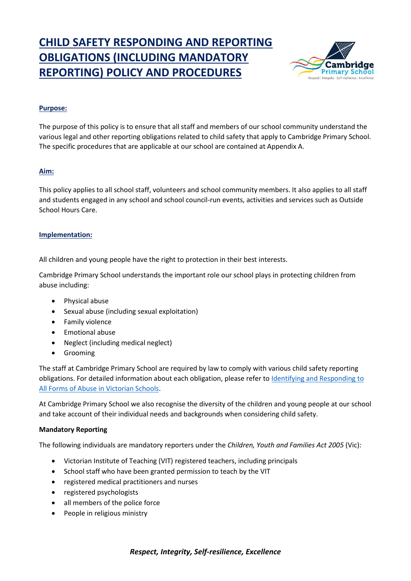# **CHILD SAFETY RESPONDING AND REPORTING OBLIGATIONS (INCLUDING MANDATORY REPORTING) POLICY AND PROCEDURES**



#### **Purpose:**

The purpose of this policy is to ensure that all staff and members of our school community understand the various legal and other reporting obligations related to child safety that apply to Cambridge Primary School. The specific procedures that are applicable at our school are contained at Appendix A.

#### **Aim:**

This policy applies to all school staff, volunteers and school community members. It also applies to all staff and students engaged in any school and school council-run events, activities and services such as Outside School Hours Care.

#### **Implementation:**

All children and young people have the right to protection in their best interests.

Cambridge Primary School understands the important role our school plays in protecting children from abuse including:

- Physical abuse
- Sexual abuse (including sexual exploitation)
- Family violence
- Emotional abuse
- Neglect (including medical neglect)
- Grooming

The staff at Cambridge Primary School are required by law to comply with various child safety reporting obligations. For detailed information about each obligation, please refer to Identifying and Responding to [All Forms of Abuse in Victorian Schools.](https://www.education.vic.gov.au/Documents/about/programs/health/protect/ChildSafeStandard5_SchoolsGuide.pdf)

At Cambridge Primary School we also recognise the diversity of the children and young people at our school and take account of their individual needs and backgrounds when considering child safety.

#### **Mandatory Reporting**

The following individuals are mandatory reporters under the *Children, Youth and Families Act 2005* (Vic):

- Victorian Institute of Teaching (VIT) registered teachers, including principals
- School staff who have been granted permission to teach by the VIT
- registered medical practitioners and nurses
- registered psychologists
- all members of the police force
- People in religious ministry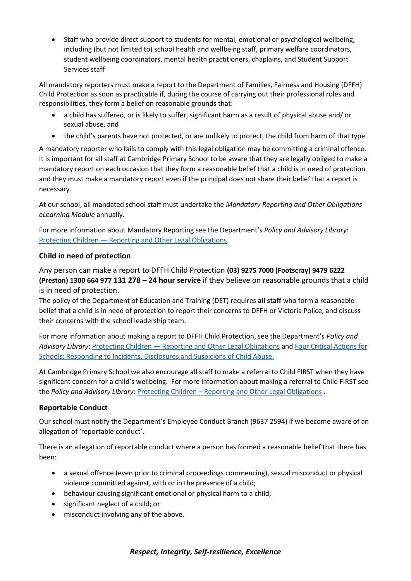• Staff who provide direct support to students for mental, emotional or psychological wellbeing, including (but not limited to) school health and wellbeing staff, primary welfare coordinators, student wellbeing coordinators, mental health practitioners, chaplains, and Student Support Services staff

All mandatory reporters must make a report to the Department of Families, Fairness and Housing (DFFH) Child Protection as soon as practicable if, during the course of carrying out their professional roles and responsibilities, they form a belief on reasonable grounds that:

- a child has suffered, or is likely to suffer, significant harm as a result of physical abuse and/ or sexual abuse, and
- the child's parents have not protected, or are unlikely to protect, the child from harm of that type.

A mandatory reporter who fails to comply with this legal obligation may be committing a criminal offence. It is important for all staff at Cambridge Primary School to be aware that they are legally obliged to make a mandatory report on each occasion that they form a reasonable belief that a child is in need of protection and they must make a mandatory report even if the principal does not share their belief that a report is necessary.

At our school, all mandated school staff must undertake the *Mandatory Reporting and Other Obligations eLearning Module* annually.

For more information about Mandatory Reporting see the Department's *Policy and Advisory Library*: Protecting Children — [Reporting and Other Legal Obligations.](https://www2.education.vic.gov.au/pal/protecting-children/policy)

## **Child in need of protection**

Any person can make a report to DFFH Child Protection **(03) 9275 7000 (Footscray) 9479 6222 (Preston) 1300 664 977 131 278 – 24 hour service** if they believe on reasonable grounds that a child is in need of protection.

The policy of the Department of Education and Training (DET) requires **all staff** who form a reasonable belief that a child is in need of protection to report their concerns to DFFH or Victoria Police, and discuss their concerns with the school leadership team.

For more information about making a report to DFFH Child Protection, see the Department's *Policy and Advisory Library*: Protecting Children — [Reporting and Other Legal Obligations](https://www2.education.vic.gov.au/pal/protecting-children/policy) and [Four Critical Actions for](https://www.education.vic.gov.au/Documents/about/programs/health/protect/FourCriticalActions_ChildAbuse.pdf)  [Schools: Responding to Incidents, Disclosures and Suspicions of Child Abuse.](https://www.education.vic.gov.au/Documents/about/programs/health/protect/FourCriticalActions_ChildAbuse.pdf)

At Cambridge Primary School we also encourage all staff to make a referral to Child FIRST when they have significant concern for a child's wellbeing. For more information about making a referral to Child FIRST see the *Policy and Advisory Library*: Protecting Children – [Reporting and Other Legal Obligations](https://www2.education.vic.gov.au/pal/protecting-children/policy) .

## **Reportable Conduct**

Our school must notify the Department's Employee Conduct Branch (9637 2594) if we become aware of an allegation of 'reportable conduct'.

There is an allegation of reportable conduct where a person has formed a reasonable belief that there has been:

- a sexual offence (even prior to criminal proceedings commencing), sexual misconduct or physical violence committed against, with or in the presence of a child;
- behaviour causing significant emotional or physical harm to a child;
- significant neglect of a child; or
- misconduct involving any of the above.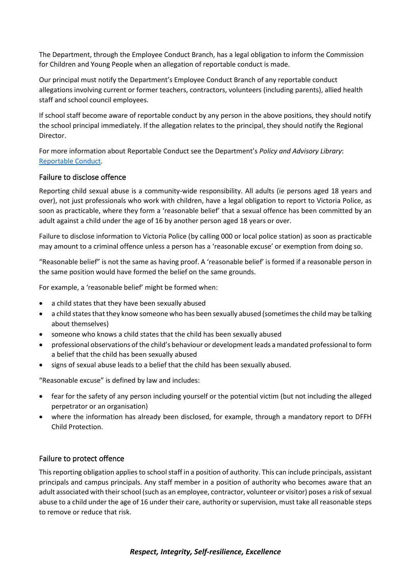The Department, through the Employee Conduct Branch, has a legal obligation to inform the Commission for Children and Young People when an allegation of reportable conduct is made.

Our principal must notify the Department's Employee Conduct Branch of any reportable conduct allegations involving current or former teachers, contractors, volunteers (including parents), allied health staff and school council employees.

If school staff become aware of reportable conduct by any person in the above positions, they should notify the school principal immediately. If the allegation relates to the principal, they should notify the Regional Director.

For more information about Reportable Conduct see the Department's *Policy and Advisory Library*: [Reportable Conduct.](https://www2.education.vic.gov.au/pal/reportable-conduct-scheme/policy)

#### Failure to disclose offence

Reporting child sexual abuse is a community-wide responsibility. All adults (ie persons aged 18 years and over), not just professionals who work with children, have a legal obligation to report to Victoria Police, as soon as practicable, where they form a 'reasonable belief' that a sexual offence has been committed by an adult against a child under the age of 16 by another person aged 18 years or over.

Failure to disclose information to Victoria Police (by calling 000 or local police station) as soon as practicable may amount to a criminal offence unless a person has a 'reasonable excuse' or exemption from doing so.

"Reasonable belief" is not the same as having proof. A 'reasonable belief' is formed if a reasonable person in the same position would have formed the belief on the same grounds.

For example, a 'reasonable belief' might be formed when:

- a child states that they have been sexually abused
- a child states that they know someone who has been sexually abused (sometimes the child may be talking about themselves)
- someone who knows a child states that the child has been sexually abused
- professional observations of the child's behaviour or development leads a mandated professional to form a belief that the child has been sexually abused
- signs of sexual abuse leads to a belief that the child has been sexually abused.

"Reasonable excuse" is defined by law and includes:

- fear for the safety of any person including yourself or the potential victim (but not including the alleged perpetrator or an organisation)
- where the information has already been disclosed, for example, through a mandatory report to DFFH Child Protection.

#### Failure to protect offence

This reporting obligation applies to school staff in a position of authority. This can include principals, assistant principals and campus principals. Any staff member in a position of authority who becomes aware that an adult associated with their school (such as an employee, contractor, volunteer or visitor) poses a risk of sexual abuse to a child under the age of 16 under their care, authority or supervision, must take all reasonable steps to remove or reduce that risk.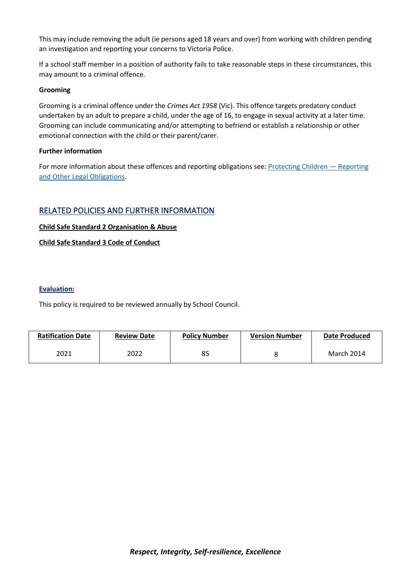This may include removing the adult (ie persons aged 18 years and over) from working with children pending an investigation and reporting your concerns to Victoria Police.

If a school staff member in a position of authority fails to take reasonable steps in these circumstances, this may amount to a criminal offence.

#### **Grooming**

Grooming is a criminal offence under the *Crimes Act 1958* (Vic). This offence targets predatory conduct undertaken by an adult to prepare a child, under the age of 16, to engage in sexual activity at a later time. Grooming can include communicating and/or attempting to befriend or establish a relationship or other emotional connection with the child or their parent/carer.

#### **Further information**

For more information about these offences and reporting obligations see[: Protecting Children](https://www2.education.vic.gov.au/pal/protecting-children/policy) - Reporting and [Other Legal Obligations.](https://www2.education.vic.gov.au/pal/protecting-children/policy)

# RELATED POLICIES AND FURTHER INFORMATION

#### **Child Safe Standard 2 Organisation & Abuse**

#### **Child Safe Standard 3 Code of Conduct**

#### **Evaluation:**

This policy is required to be reviewed annually by School Council.

| <b>Ratification Date</b> | <b>Review Date</b> | <b>Policy Number</b> | <b>Version Number</b> | <b>Date Produced</b> |
|--------------------------|--------------------|----------------------|-----------------------|----------------------|
| 2021                     | 2022               | 85                   |                       | March 2014           |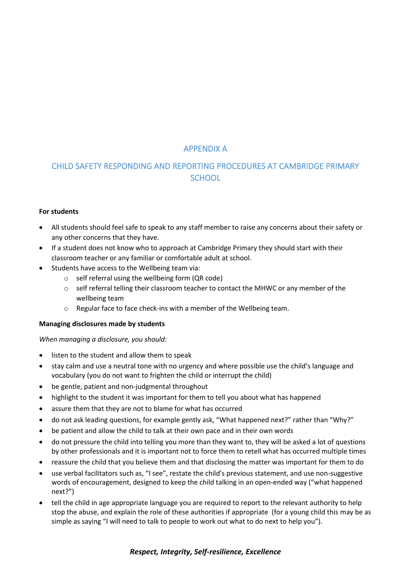# APPENDIX A

# CHILD SAFETY RESPONDING AND REPORTING PROCEDURES AT CAMBRIDGE PRIMARY **SCHOOL**

#### **For students**

- All students should feel safe to speak to any staff member to raise any concerns about their safety or any other concerns that they have.
- If a student does not know who to approach at Cambridge Primary they should start with their classroom teacher or any familiar or comfortable adult at school.
- Students have access to the Wellbeing team via:
	- $\circ$  self referral using the wellbeing form (QR code)
	- o self referral telling their classroom teacher to contact the MHWC or any member of the wellbeing team
	- o Regular face to face check-ins with a member of the Wellbeing team.

#### **Managing disclosures made by students**

*When managing a disclosure, you should:*

- listen to the student and allow them to speak
- stay calm and use a neutral tone with no urgency and where possible use the child's language and vocabulary (you do not want to frighten the child or interrupt the child)
- be gentle, patient and non-judgmental throughout
- highlight to the student it was important for them to tell you about what has happened
- assure them that they are not to blame for what has occurred
- do not ask leading questions, for example gently ask, "What happened next?" rather than "Why?"
- be patient and allow the child to talk at their own pace and in their own words
- do not pressure the child into telling you more than they want to, they will be asked a lot of questions by other professionals and it is important not to force them to retell what has occurred multiple times
- reassure the child that you believe them and that disclosing the matter was important for them to do
- use verbal facilitators such as, "I see", restate the child's previous statement, and use non-suggestive words of encouragement, designed to keep the child talking in an open-ended way ("what happened next?")
- tell the child in age appropriate language you are required to report to the relevant authority to help stop the abuse, and explain the role of these authorities if appropriate (for a young child this may be as simple as saying "I will need to talk to people to work out what to do next to help you").

## *Respect, Integrity, Self-resilience, Excellence*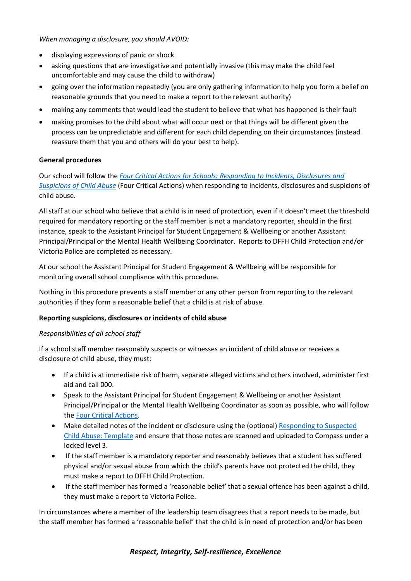*When managing a disclosure, you should AVOID:*

- displaying expressions of panic or shock
- asking questions that are investigative and potentially invasive (this may make the child feel uncomfortable and may cause the child to withdraw)
- going over the information repeatedly (you are only gathering information to help you form a belief on reasonable grounds that you need to make a report to the relevant authority)
- making any comments that would lead the student to believe that what has happened is their fault
- making promises to the child about what will occur next or that things will be different given the process can be unpredictable and different for each child depending on their circumstances (instead reassure them that you and others will do your best to help).

#### **General procedures**

Our school will follow the *[Four Critical Actions for Schools: Responding to Incidents, Disclosures and](https://www.education.vic.gov.au/Documents/about/programs/health/protect/FourCriticalActions_ChildAbuse.pdf)  [Suspicions of Child Abuse](https://www.education.vic.gov.au/Documents/about/programs/health/protect/FourCriticalActions_ChildAbuse.pdf)* (Four Critical Actions) when responding to incidents, disclosures and suspicions of child abuse.

All staff at our school who believe that a child is in need of protection, even if it doesn't meet the threshold required for mandatory reporting or the staff member is not a mandatory reporter, should in the first instance, speak to the Assistant Principal for Student Engagement & Wellbeing or another Assistant Principal/Principal or the Mental Health Wellbeing Coordinator. Reports to DFFH Child Protection and/or Victoria Police are completed as necessary.

At our school the Assistant Principal for Student Engagement & Wellbeing will be responsible for monitoring overall school compliance with this procedure.

Nothing in this procedure prevents a staff member or any other person from reporting to the relevant authorities if they form a reasonable belief that a child is at risk of abuse.

#### **Reporting suspicions, disclosures or incidents of child abuse**

#### *Responsibilities of all school staff*

If a school staff member reasonably suspects or witnesses an incident of child abuse or receives a disclosure of child abuse, they must:

- If a child is at immediate risk of harm, separate alleged victims and others involved, administer first aid and call 000.
- Speak to the Assistant Principal for Student Engagement & Wellbeing or another Assistant Principal/Principal or the Mental Health Wellbeing Coordinator as soon as possible, who will follow the [Four Critical Actions.](https://www.education.vic.gov.au/Documents/about/programs/health/protect/FourCriticalActions_ChildAbuse.pdf)
- Make detailed notes of the incident or disclosure using the (optional) [Responding to Suspected](https://www.education.vic.gov.au/Documents/about/programs/health/protect/PROTECT_Schoolstemplate.pdf)  [Child Abuse: Template](https://www.education.vic.gov.au/Documents/about/programs/health/protect/PROTECT_Schoolstemplate.pdf) and ensure that those notes are scanned and uploaded to Compass under a locked level 3.
- If the staff member is a mandatory reporter and reasonably believes that a student has suffered physical and/or sexual abuse from which the child's parents have not protected the child, they must make a report to DFFH Child Protection.
- If the staff member has formed a 'reasonable belief' that a sexual offence has been against a child, they must make a report to Victoria Police.

In circumstances where a member of the leadership team disagrees that a report needs to be made, but the staff member has formed a 'reasonable belief' that the child is in need of protection and/or has been

#### *Respect, Integrity, Self-resilience, Excellence*